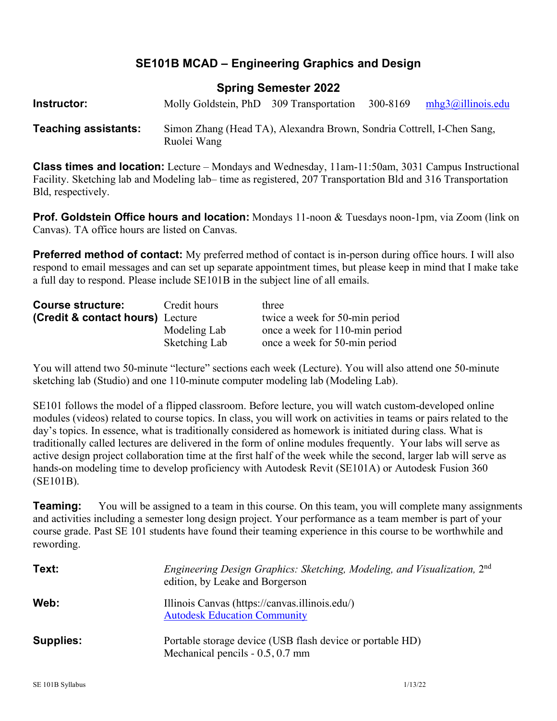## **SE101B MCAD – Engineering Graphics and Design**

### **Spring Semester 2022**

| Instructor:                 | Molly Goldstein, PhD 309 Transportation                                               | 300-8169 | mhg3@illinois.edu |
|-----------------------------|---------------------------------------------------------------------------------------|----------|-------------------|
| <b>Teaching assistants:</b> | Simon Zhang (Head TA), Alexandra Brown, Sondria Cottrell, I-Chen Sang,<br>Ruolei Wang |          |                   |

**Class times and location:** Lecture – Mondays and Wednesday, 11am-11:50am, 3031 Campus Instructional Facility. Sketching lab and Modeling lab– time as registered, 207 Transportation Bld and 316 Transportation Bld, respectively.

**Prof. Goldstein Office hours and location:** Mondays 11-noon & Tuesdays noon-1pm, via Zoom (link on Canvas). TA office hours are listed on Canvas.

**Preferred method of contact:** My preferred method of contact is in-person during office hours. I will also respond to email messages and can set up separate appointment times, but please keep in mind that I make take a full day to respond. Please include SE101B in the subject line of all emails.

| <b>Course structure:</b>                    | Credit hours  | three                          |  |  |
|---------------------------------------------|---------------|--------------------------------|--|--|
| <b>(Credit &amp; contact hours)</b> Lecture |               | twice a week for 50-min period |  |  |
|                                             | Modeling Lab  | once a week for 110-min period |  |  |
|                                             | Sketching Lab | once a week for 50-min period  |  |  |

You will attend two 50-minute "lecture" sections each week (Lecture). You will also attend one 50-minute sketching lab (Studio) and one 110-minute computer modeling lab (Modeling Lab).

SE101 follows the model of a flipped classroom. Before lecture, you will watch custom-developed online modules (videos) related to course topics. In class, you will work on activities in teams or pairs related to the day's topics. In essence, what is traditionally considered as homework is initiated during class. What is traditionally called lectures are delivered in the form of online modules frequently. Your labs will serve as active design project collaboration time at the first half of the week while the second, larger lab will serve as hands-on modeling time to develop proficiency with Autodesk Revit (SE101A) or Autodesk Fusion 360 (SE101B).

**Teaming:** You will be assigned to a team in this course. On this team, you will complete many assignments and activities including a semester long design project. Your performance as a team member is part of your course grade. Past SE 101 students have found their teaming experience in this course to be worthwhile and rewording.

| Text:            | Engineering Design Graphics: Sketching, Modeling, and Visualization, 2nd<br>edition, by Leake and Borgerson |
|------------------|-------------------------------------------------------------------------------------------------------------|
| Web:             | Illinois Canvas (https://canvas.illinois.edu/)<br><b>Autodesk Education Community</b>                       |
| <b>Supplies:</b> | Portable storage device (USB flash device or portable HD)<br>Mechanical pencils $-0.5, 0.7$ mm              |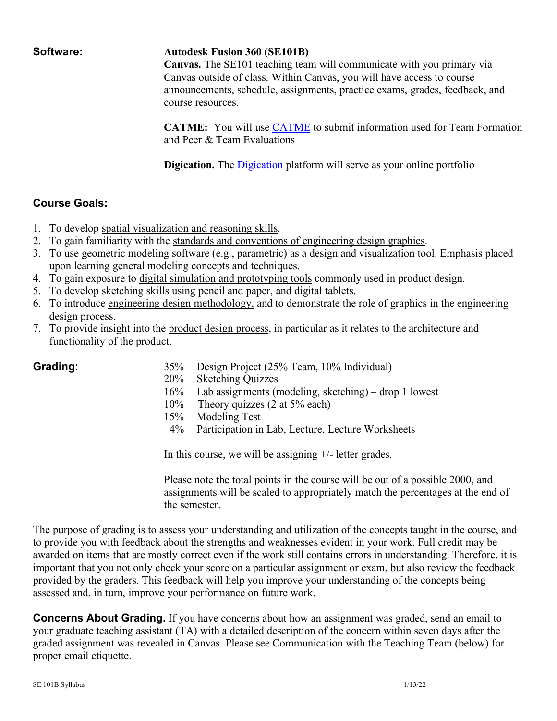#### **Software: Autodesk Fusion 360 (SE101B)**

**Canvas.** The SE101 teaching team will communicate with you primary via Canvas outside of class. Within Canvas, you will have access to course announcements, schedule, assignments, practice exams, grades, feedback, and course resources.

**CATME:** You will use CATME to submit information used for Team Formation and Peer & Team Evaluations

**Digication.** The **Digication** platform will serve as your online portfolio

#### **Course Goals:**

- 1. To develop spatial visualization and reasoning skills.
- 2. To gain familiarity with the standards and conventions of engineering design graphics.
- 3. To use geometric modeling software (e.g., parametric) as a design and visualization tool. Emphasis placed upon learning general modeling concepts and techniques.
- 4. To gain exposure to digital simulation and prototyping tools commonly used in product design.
- 5. To develop sketching skills using pencil and paper, and digital tablets.
- 6. To introduce engineering design methodology, and to demonstrate the role of graphics in the engineering design process.
- 7. To provide insight into the product design process, in particular as it relates to the architecture and functionality of the product.

- **Grading:** 35% Design Project (25% Team, 10% Individual)
	- 20% Sketching Quizzes
	- 16% Lab assignments (modeling, sketching) drop 1 lowest
	- 10% Theory quizzes (2 at 5% each)
	- 15% Modeling Test
	- 4% Participation in Lab, Lecture, Lecture Worksheets

In this course, we will be assigning +/- letter grades.

Please note the total points in the course will be out of a possible 2000, and assignments will be scaled to appropriately match the percentages at the end of the semester.

The purpose of grading is to assess your understanding and utilization of the concepts taught in the course, and to provide you with feedback about the strengths and weaknesses evident in your work. Full credit may be awarded on items that are mostly correct even if the work still contains errors in understanding. Therefore, it is important that you not only check your score on a particular assignment or exam, but also review the feedback provided by the graders. This feedback will help you improve your understanding of the concepts being assessed and, in turn, improve your performance on future work.

**Concerns About Grading.** If you have concerns about how an assignment was graded, send an email to your graduate teaching assistant (TA) with a detailed description of the concern within seven days after the graded assignment was revealed in Canvas. Please see Communication with the Teaching Team (below) for proper email etiquette.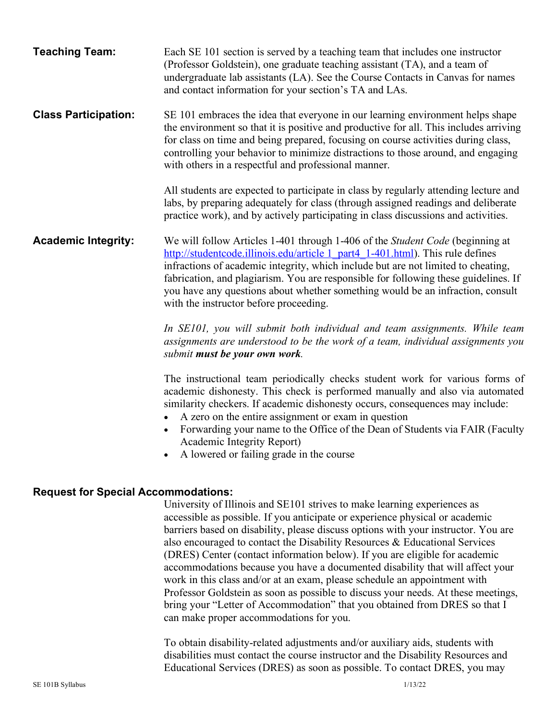| <b>Teaching Team:</b>                      | Each SE 101 section is served by a teaching team that includes one instructor<br>(Professor Goldstein), one graduate teaching assistant (TA), and a team of<br>undergraduate lab assistants (LA). See the Course Contacts in Canvas for names<br>and contact information for your section's TA and LAs.                                                                                                                                                                 |
|--------------------------------------------|-------------------------------------------------------------------------------------------------------------------------------------------------------------------------------------------------------------------------------------------------------------------------------------------------------------------------------------------------------------------------------------------------------------------------------------------------------------------------|
| <b>Class Participation:</b>                | SE 101 embraces the idea that everyone in our learning environment helps shape<br>the environment so that it is positive and productive for all. This includes arriving<br>for class on time and being prepared, focusing on course activities during class,<br>controlling your behavior to minimize distractions to those around, and engaging<br>with others in a respectful and professional manner.                                                                |
|                                            | All students are expected to participate in class by regularly attending lecture and<br>labs, by preparing adequately for class (through assigned readings and deliberate<br>practice work), and by actively participating in class discussions and activities.                                                                                                                                                                                                         |
| <b>Academic Integrity:</b>                 | We will follow Articles 1-401 through 1-406 of the Student Code (beginning at<br>http://studentcode.illinois.edu/article 1 part4 1-401.html). This rule defines<br>infractions of academic integrity, which include but are not limited to cheating,<br>fabrication, and plagiarism. You are responsible for following these guidelines. If<br>you have any questions about whether something would be an infraction, consult<br>with the instructor before proceeding. |
|                                            | In SE101, you will submit both individual and team assignments. While team<br>assignments are understood to be the work of a team, individual assignments you<br>submit <b>must be your own work</b> .                                                                                                                                                                                                                                                                  |
|                                            | The instructional team periodically checks student work for various forms of<br>academic dishonesty. This check is performed manually and also via automated<br>similarity checkers. If academic dishonesty occurs, consequences may include:<br>A zero on the entire assignment or exam in question<br>Forwarding your name to the Office of the Dean of Students via FAIR (Faculty<br>Academic Integrity Report)<br>A lowered or failing grade in the course          |
| <b>Request for Special Accommodations:</b> |                                                                                                                                                                                                                                                                                                                                                                                                                                                                         |
|                                            | University of Illinois and SE101 strives to make learning experiences as<br>accessible as possible. If you anticipate or experience physical or academic<br>barriers based on disability, please discuss options with your instructor. You are<br>also encouraged to contact the Disability Resources & Educational Services<br>(DRES) Center (contact information below). If you are eligible for academic                                                             |

accommodations because you have a documented disability that will affect your work in this class and/or at an exam, please schedule an appointment with Professor Goldstein as soon as possible to discuss your needs. At these meetings, bring your "Letter of Accommodation" that you obtained from DRES so that I can make proper accommodations for you.

To obtain disability-related adjustments and/or auxiliary aids, students with disabilities must contact the course instructor and the Disability Resources and Educational Services (DRES) as soon as possible. To contact DRES, you may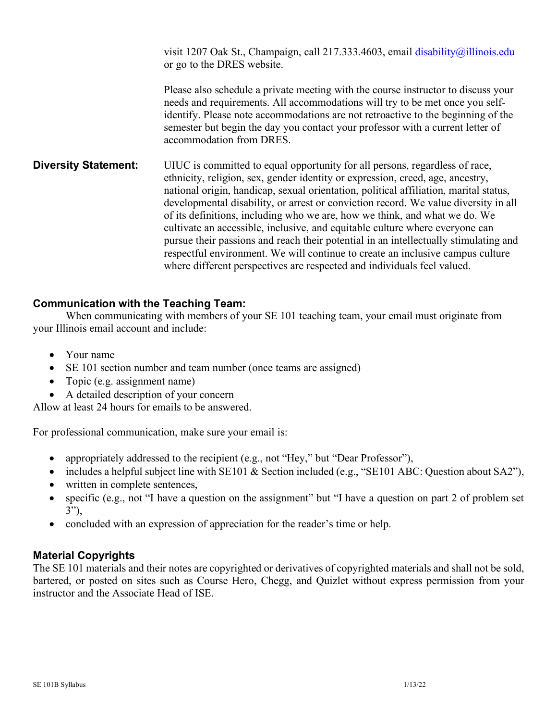visit 1207 Oak St., Champaign, call 217.333.4603, email disability@illinois.edu or go to the DRES website.

Please also schedule a private meeting with the course instructor to discuss your needs and requirements. All accommodations will try to be met once you selfidentify. Please note accommodations are not retroactive to the beginning of the semester but begin the day you contact your professor with a current letter of accommodation from DRES.

**Diversity Statement:** UIUC is committed to equal opportunity for all persons, regardless of race, ethnicity, religion, sex, gender identity or expression, creed, age, ancestry, national origin, handicap, sexual orientation, political affiliation, marital status, developmental disability, or arrest or conviction record. We value diversity in all of its definitions, including who we are, how we think, and what we do. We cultivate an accessible, inclusive, and equitable culture where everyone can pursue their passions and reach their potential in an intellectually stimulating and respectful environment. We will continue to create an inclusive campus culture where different perspectives are respected and individuals feel valued.

#### **Communication with the Teaching Team:**

When communicating with members of your SE 101 teaching team, your email must originate from your Illinois email account and include:

- Your name
- SE 101 section number and team number (once teams are assigned)
- Topic (e.g. assignment name)
- A detailed description of your concern

Allow at least 24 hours for emails to be answered.

For professional communication, make sure your email is:

- appropriately addressed to the recipient (e.g., not "Hey," but "Dear Professor"),
- includes a helpful subject line with SE101 & Section included (e.g., "SE101 ABC: Question about SA2"),
- written in complete sentences,
- specific (e.g., not "I have a question on the assignment" but "I have a question on part 2 of problem set 3"),
- concluded with an expression of appreciation for the reader's time or help.

#### **Material Copyrights**

The SE 101 materials and their notes are copyrighted or derivatives of copyrighted materials and shall not be sold, bartered, or posted on sites such as Course Hero, Chegg, and Quizlet without express permission from your instructor and the Associate Head of ISE.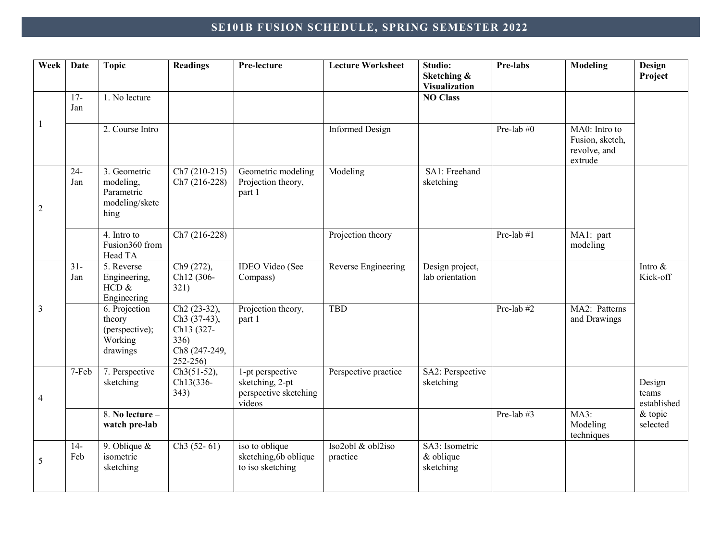# **SE101B FUSION SCHEDULE, SPRING SEMESTER 2022**

| Week           | <b>Date</b>            | <b>Topic</b>                                                      | <b>Readings</b>                                                                                            | Pre-lecture                                                            | <b>Lecture Worksheet</b>      | Studio:<br>Sketching &<br><b>Visualization</b> | Pre-labs   | <b>Modeling</b>                                             | Design<br>Project              |
|----------------|------------------------|-------------------------------------------------------------------|------------------------------------------------------------------------------------------------------------|------------------------------------------------------------------------|-------------------------------|------------------------------------------------|------------|-------------------------------------------------------------|--------------------------------|
|                | $17-$<br>Jan           | 1. No lecture                                                     |                                                                                                            |                                                                        |                               | <b>NO Class</b>                                |            |                                                             |                                |
| -1             |                        | 2. Course Intro                                                   |                                                                                                            |                                                                        | <b>Informed Design</b>        |                                                | Pre-lab #0 | MA0: Intro to<br>Fusion, sketch,<br>revolve, and<br>extrude |                                |
| $\overline{c}$ | $24 -$<br>Jan          | 3. Geometric<br>modeling,<br>Parametric<br>modeling/sketc<br>hing | $Ch7(210-215)$<br>Ch7 (216-228)                                                                            | Geometric modeling<br>Projection theory,<br>part 1                     | Modeling                      | SA1: Freehand<br>sketching                     |            |                                                             |                                |
|                |                        | 4. Intro to<br>Fusion360 from<br>Head TA                          | Ch7 (216-228)                                                                                              |                                                                        | Projection theory             |                                                | Pre-lab #1 | MA1: part<br>modeling                                       |                                |
|                | $\overline{31}$<br>Jan | 5. Reverse<br>Engineering,<br>HCD &<br>Engineering                | Ch9 (272),<br>Ch12 (306-<br>321)                                                                           | <b>IDEO Video (See</b><br>Compass)                                     | Reverse Engineering           | Design project,<br>lab orientation             |            |                                                             | Intro $\&$<br>Kick-off         |
| 3              |                        | 6. Projection<br>theory<br>(perspective);<br>Working<br>drawings  | Ch <sub>2</sub> (23-32),<br>Ch <sub>3</sub> (37-43),<br>Ch13 (327-<br>336)<br>Ch8 (247-249,<br>$252 - 256$ | Projection theory,<br>part 1                                           | <b>TBD</b>                    |                                                | Pre-lab #2 | MA2: Patterns<br>and Drawings                               |                                |
| 4              | 7-Feb                  | 7. Perspective<br>sketching                                       | $Ch3(51-52),$<br>Ch13(336-<br>343)                                                                         | 1-pt perspective<br>sketching, 2-pt<br>perspective sketching<br>videos | Perspective practice          | SA2: Perspective<br>sketching                  |            |                                                             | Design<br>teams<br>established |
|                |                        | 8. No lecture -<br>watch pre-lab                                  |                                                                                                            |                                                                        |                               |                                                | Pre-lab #3 | <b>MA3:</b><br>Modeling<br>techniques                       | $&$ topic<br>selected          |
| 5              | $14-$<br>Feb           | 9. Oblique $\&$<br>isometric<br>sketching                         | $Ch3(52-61)$                                                                                               | iso to oblique<br>sketching, 6b oblique<br>to iso sketching            | Iso2obl & obl2iso<br>practice | SA3: Isometric<br>$&$ oblique<br>sketching     |            |                                                             |                                |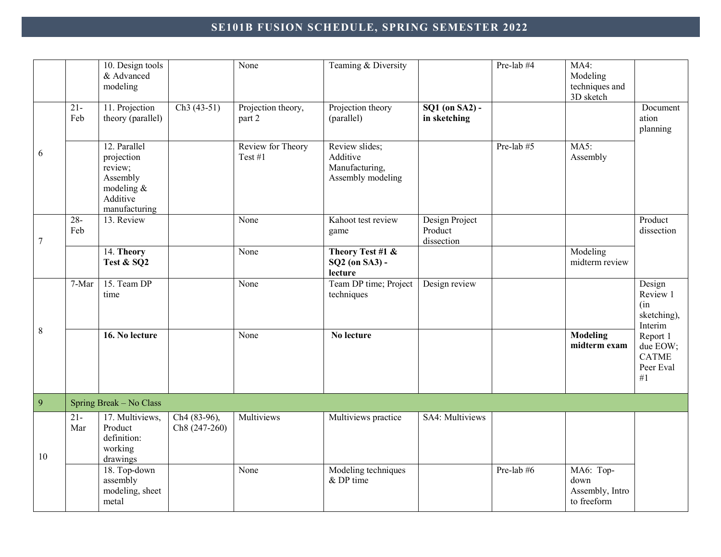# **SE101B FUSION SCHEDULE, SPRING SEMESTER 2022**

|                  |               | 10. Design tools<br>& Advanced<br>modeling                                                      |                               | $\overline{\text{None}}$     | Teaming & Diversity                                               |                                                           | Pre-lab #4 | $MA4$ :<br>Modeling<br>techniques and<br>3D sketch  |                                                         |
|------------------|---------------|-------------------------------------------------------------------------------------------------|-------------------------------|------------------------------|-------------------------------------------------------------------|-----------------------------------------------------------|------------|-----------------------------------------------------|---------------------------------------------------------|
|                  | $21 -$<br>Feb | 11. Projection<br>theory (parallel)                                                             | $Ch3(43-51)$                  | Projection theory,<br>part 2 | Projection theory<br>(parallel)                                   | $\overline{SQ1}$ (on $\overline{SA2}$ ) -<br>in sketching |            |                                                     | Document<br>ation<br>planning                           |
| 6                |               | 12. Parallel<br>projection<br>review;<br>Assembly<br>modeling $\&$<br>Additive<br>manufacturing |                               | Review for Theory<br>Test #1 | Review slides;<br>Additive<br>Manufacturing,<br>Assembly modeling |                                                           | Pre-lab #5 | $MA5$ :<br>Assembly                                 |                                                         |
| $\boldsymbol{7}$ | $28 -$<br>Feb | 13. Review                                                                                      |                               | None                         | Kahoot test review<br>game                                        | Design Project<br>Product<br>dissection                   |            |                                                     | Product<br>dissection                                   |
|                  |               | 14. Theory<br>Test & SQ2                                                                        |                               | None                         | Theory Test #1 &<br>SQ2 (on SA3) -<br>lecture                     |                                                           |            | Modeling<br>midterm review                          |                                                         |
|                  | 7-Mar         | 15. Team DP<br>time                                                                             |                               | None                         | Team DP time; Project<br>techniques                               | Design review                                             |            |                                                     | Design<br>Review 1<br>(in<br>sketching),<br>Interim     |
| $\,8\,$          |               | 16. No lecture                                                                                  |                               | None                         | No lecture                                                        |                                                           |            | <b>Modeling</b><br>midterm exam                     | Report 1<br>due EOW;<br><b>CATME</b><br>Peer Eval<br>#1 |
| $\overline{9}$   |               | Spring Break - No Class                                                                         |                               |                              |                                                                   |                                                           |            |                                                     |                                                         |
| 10               | $21 -$<br>Mar | $\overline{17}$ . Multiviews,<br>Product<br>definition:<br>working<br>drawings                  | Ch4 (83-96),<br>Ch8 (247-260) | Multiviews                   | Multiviews practice                                               | SA4: Multiviews                                           |            |                                                     |                                                         |
|                  |               | 18. Top-down<br>assembly<br>modeling, sheet<br>metal                                            |                               | None                         | Modeling techniques<br>$&$ DP time                                |                                                           | Pre-lab #6 | MA6: Top-<br>down<br>Assembly, Intro<br>to freeform |                                                         |